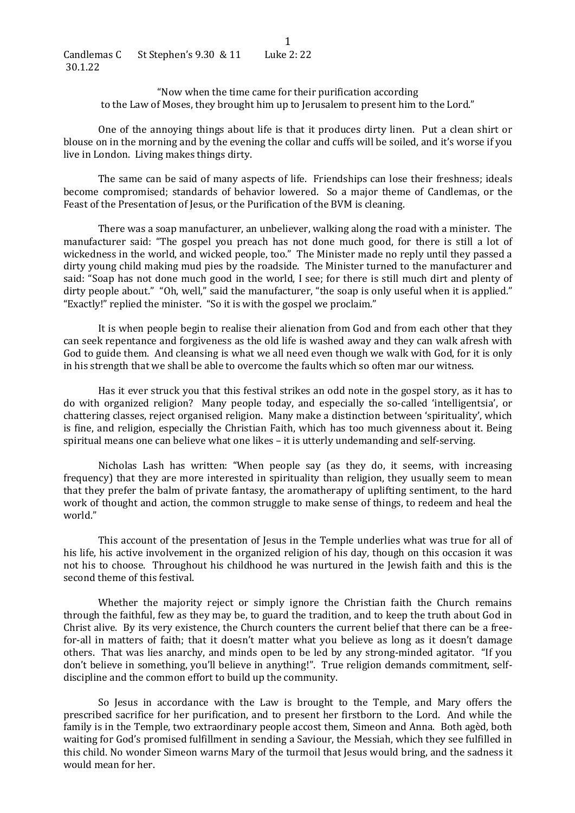"Now when the time came for their purification according to the Law of Moses, they brought him up to Jerusalem to present him to the Lord."

One of the annoying things about life is that it produces dirty linen. Put a clean shirt or blouse on in the morning and by the evening the collar and cuffs will be soiled, and it's worse if you live in London. Living makes things dirty.

The same can be said of many aspects of life. Friendships can lose their freshness; ideals become compromised; standards of behavior lowered. So a major theme of Candlemas, or the Feast of the Presentation of Jesus, or the Purification of the BVM is cleaning.

There was a soap manufacturer, an unbeliever, walking along the road with a minister. The manufacturer said: "The gospel you preach has not done much good, for there is still a lot of wickedness in the world, and wicked people, too." The Minister made no reply until they passed a dirty young child making mud pies by the roadside. The Minister turned to the manufacturer and said: "Soap has not done much good in the world, I see; for there is still much dirt and plenty of dirty people about." "Oh, well," said the manufacturer, "the soap is only useful when it is applied." "Exactly!" replied the minister. "So it is with the gospel we proclaim."

It is when people begin to realise their alienation from God and from each other that they can seek repentance and forgiveness as the old life is washed away and they can walk afresh with God to guide them. And cleansing is what we all need even though we walk with God, for it is only in his strength that we shall be able to overcome the faults which so often mar our witness.

Has it ever struck you that this festival strikes an odd note in the gospel story, as it has to do with organized religion? Many people today, and especially the so-called 'intelligentsia', or chattering classes, reject organised religion. Many make a distinction between 'spirituality', which is fine, and religion, especially the Christian Faith, which has too much givenness about it. Being spiritual means one can believe what one likes – it is utterly undemanding and self-serving.

Nicholas Lash has written: "When people say (as they do, it seems, with increasing frequency) that they are more interested in spirituality than religion, they usually seem to mean that they prefer the balm of private fantasy, the aromatherapy of uplifting sentiment, to the hard work of thought and action, the common struggle to make sense of things, to redeem and heal the world."

This account of the presentation of Jesus in the Temple underlies what was true for all of his life, his active involvement in the organized religion of his day, though on this occasion it was not his to choose. Throughout his childhood he was nurtured in the Jewish faith and this is the second theme of this festival.

Whether the majority reject or simply ignore the Christian faith the Church remains through the faithful, few as they may be, to guard the tradition, and to keep the truth about God in Christ alive. By its very existence, the Church counters the current belief that there can be a freefor-all in matters of faith; that it doesn't matter what you believe as long as it doesn't damage others. That was lies anarchy, and minds open to be led by any strong-minded agitator. "If you don't believe in something, you'll believe in anything!". True religion demands commitment, selfdiscipline and the common effort to build up the community.

So Jesus in accordance with the Law is brought to the Temple, and Mary offers the prescribed sacrifice for her purification, and to present her firstborn to the Lord. And while the family is in the Temple, two extraordinary people accost them, Simeon and Anna. Both agèd, both waiting for God's promised fulfillment in sending a Saviour, the Messiah, which they see fulfilled in this child. No wonder Simeon warns Mary of the turmoil that Jesus would bring, and the sadness it would mean for her.